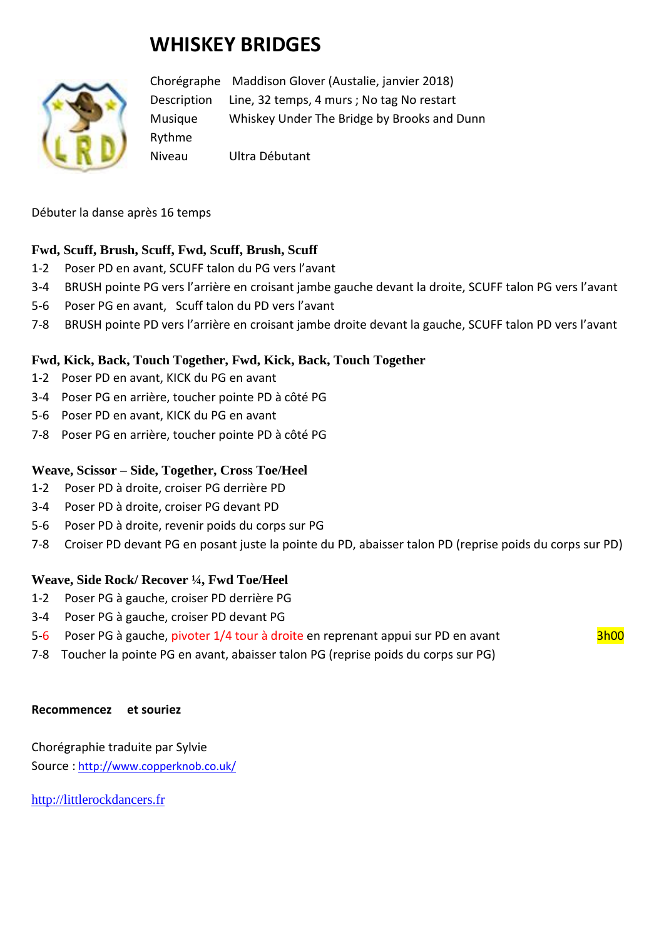# **WHISKEY BRIDGES**



Chorégraphe Maddison Glover (Austalie, janvier 2018) Description Line, 32 temps, 4 murs ; No tag No restart Musique Whiskey Under The Bridge by Brooks and Dunn Rythme Niveau Ultra Débutant

Débuter la danse après 16 temps

# **Fwd, Scuff, Brush, Scuff, Fwd, Scuff, Brush, Scuff**

- 1-2 Poser PD en avant, SCUFF talon du PG vers l'avant
- 3-4 BRUSH pointe PG vers l'arrière en croisant jambe gauche devant la droite, SCUFF talon PG vers l'avant
- 5-6 Poser PG en avant, Scuff talon du PD vers l'avant
- 7-8 BRUSH pointe PD vers l'arrière en croisant jambe droite devant la gauche, SCUFF talon PD vers l'avant

# **Fwd, Kick, Back, Touch Together, Fwd, Kick, Back, Touch Together**

- 1-2 Poser PD en avant, KICK du PG en avant
- 3-4 Poser PG en arrière, toucher pointe PD à côté PG
- 5-6 Poser PD en avant, KICK du PG en avant
- 7-8 Poser PG en arrière, toucher pointe PD à côté PG

# **Weave, Scissor – Side, Together, Cross Toe/Heel**

- 1-2 Poser PD à droite, croiser PG derrière PD
- 3-4 Poser PD à droite, croiser PG devant PD
- 5-6 Poser PD à droite, revenir poids du corps sur PG
- 7-8 Croiser PD devant PG en posant juste la pointe du PD, abaisser talon PD (reprise poids du corps sur PD)

#### **Weave, Side Rock/ Recover ¼, Fwd Toe/Heel**

- 1-2 Poser PG à gauche, croiser PD derrière PG
- 3-4 Poser PG à gauche, croiser PD devant PG
- 5-6 Poser PG à gauche, pivoter 1/4 tour à droite en reprenant appui sur PD en avant 3h00
- 7-8 Toucher la pointe PG en avant, abaisser talon PG (reprise poids du corps sur PG)

#### **Recommencez et souriez**

Chorégraphie traduite par Sylvie Source : [http://www.copperknob.co.uk/](https://www.copperknob.co.uk/) 

[http://littlerockdancers.fr](http://littlerockdancers.fr/)